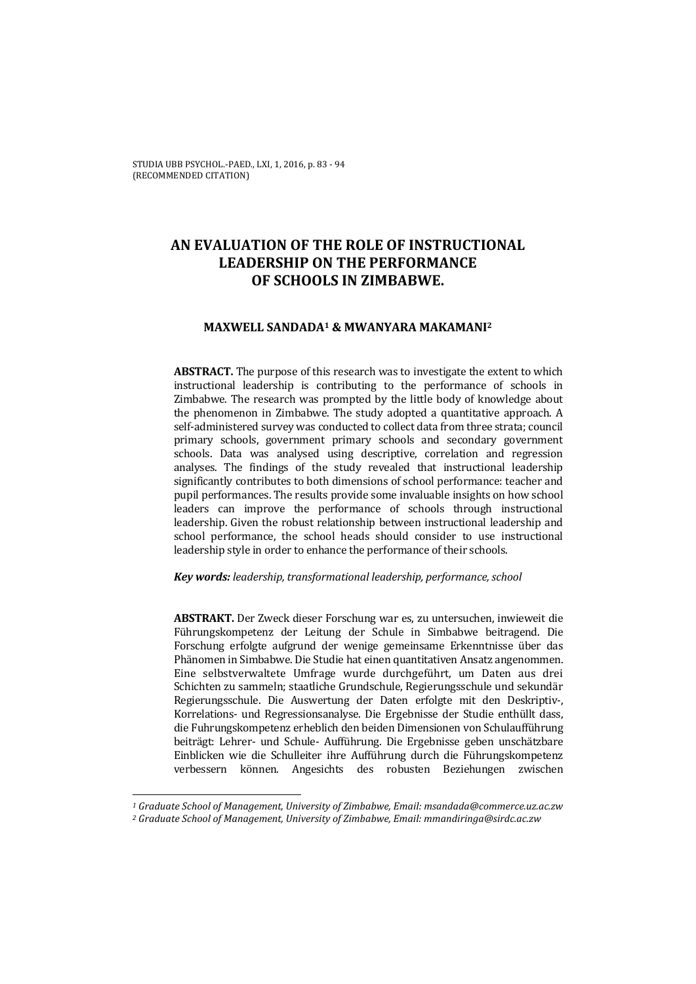STUDIA UBB PSYCHOL.-PAED., LXI, 1, 2016, p. 83 - 94 (RECOMMENDED CITATION)

# **AN EVALUATION OF THE ROLE OF INSTRUCTIONAL LEADERSHIP ON THE PERFORMANCE OF SCHOOLS IN ZIMBABWE.**

# **MAXWELL SANDADA1 & MWANYARA MAKAMANI2**

**ABSTRACT.** The purpose of this research was to investigate the extent to which instructional leadership is contributing to the performance of schools in Zimbabwe. The research was prompted by the little body of knowledge about the phenomenon in Zimbabwe. The study adopted a quantitative approach. A self-administered survey was conducted to collect data from three strata; council primary schools, government primary schools and secondary government schools. Data was analysed using descriptive, correlation and regression analyses. The findings of the study revealed that instructional leadership significantly contributes to both dimensions of school performance: teacher and pupil performances. The results provide some invaluable insights on how school leaders can improve the performance of schools through instructional leadership. Given the robust relationship between instructional leadership and school performance, the school heads should consider to use instructional leadership style in order to enhance the performance of their schools.

*Key words: leadership, transformational leadership, performance, school* 

**ABSTRAKT.** Der Zweck dieser Forschung war es, zu untersuchen, inwieweit die Führungskompetenz der Leitung der Schule in Simbabwe beitragend. Die Forschung erfolgte aufgrund der wenige gemeinsame Erkenntnisse über das Phänomen in Simbabwe. Die Studie hat einen quantitativen Ansatz angenommen. Eine selbstverwaltete Umfrage wurde durchgeführt, um Daten aus drei Schichten zu sammeln; staatliche Grundschule, Regierungsschule und sekundär Regierungsschule. Die Auswertung der Daten erfolgte mit den Deskriptiv-, Korrelations- und Regressionsanalyse. Die Ergebnisse der Studie enthüllt dass, die Fuhrungskompetenz erheblich den beiden Dimensionen von Schulaufführung beiträgt: Lehrer- und Schule- Aufführung. Die Ergebnisse geben unschätzbare Einblicken wie die Schulleiter ihre Aufführung durch die Führungskompetenz verbessern können. Angesichts des robusten Beziehungen zwischen

 $\overline{a}$ 

*<sup>1</sup> Graduate School of Management, University of Zimbabwe, Email: msandada@commerce.uz.ac.zw 2 Graduate School of Management, University of Zimbabwe, Email: mmandiringa@sirdc.ac.zw*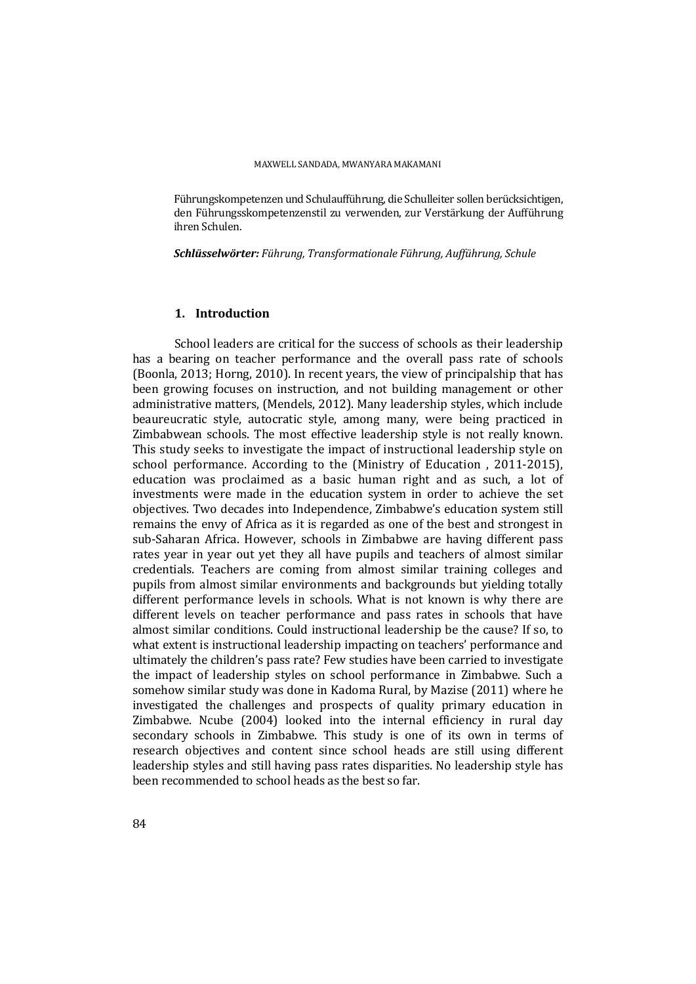Führungskompetenzen und Schulaufführung, die Schulleiter sollen berücksichtigen, den Führungsskompetenzenstil zu verwenden, zur Verstärkung der Aufführung ihren Schulen.

*Schlüsselwörter: Führung, Transformationale Führung, Aufführung, Schule* 

# **1. Introduction**

School leaders are critical for the success of schools as their leadership has a bearing on teacher performance and the overall pass rate of schools (Boonla, 2013; Horng, 2010). In recent years, the view of principalship that has been growing focuses on instruction, and not building management or other administrative matters, (Mendels, 2012). Many leadership styles, which include beaureucratic style, autocratic style, among many, were being practiced in Zimbabwean schools. The most effective leadership style is not really known. This study seeks to investigate the impact of instructional leadership style on school performance. According to the (Ministry of Education , 2011-2015), education was proclaimed as a basic human right and as such, a lot of investments were made in the education system in order to achieve the set objectives. Two decades into Independence, Zimbabwe's education system still remains the envy of Africa as it is regarded as one of the best and strongest in sub-Saharan Africa. However, schools in Zimbabwe are having different pass rates year in year out yet they all have pupils and teachers of almost similar credentials. Teachers are coming from almost similar training colleges and pupils from almost similar environments and backgrounds but yielding totally different performance levels in schools. What is not known is why there are different levels on teacher performance and pass rates in schools that have almost similar conditions. Could instructional leadership be the cause? If so, to what extent is instructional leadership impacting on teachers' performance and ultimately the children's pass rate? Few studies have been carried to investigate the impact of leadership styles on school performance in Zimbabwe. Such a somehow similar study was done in Kadoma Rural, by Mazise (2011) where he investigated the challenges and prospects of quality primary education in Zimbabwe. Ncube (2004) looked into the internal efficiency in rural day secondary schools in Zimbabwe. This study is one of its own in terms of research objectives and content since school heads are still using different leadership styles and still having pass rates disparities. No leadership style has been recommended to school heads as the best so far.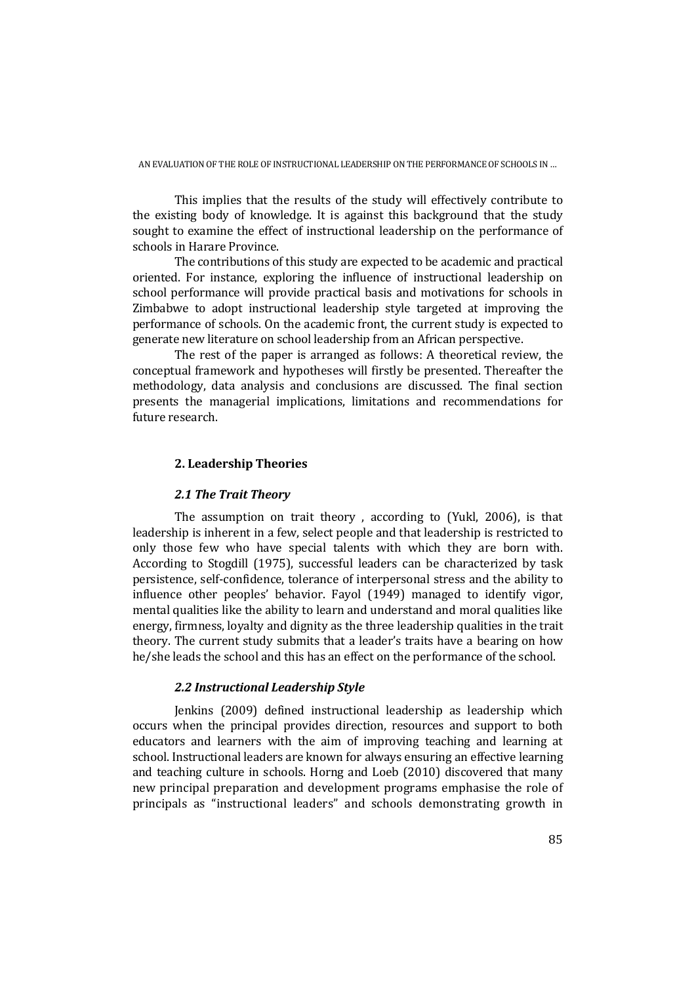This implies that the results of the study will effectively contribute to the existing body of knowledge. It is against this background that the study sought to examine the effect of instructional leadership on the performance of schools in Harare Province.

The contributions of this study are expected to be academic and practical oriented. For instance, exploring the influence of instructional leadership on school performance will provide practical basis and motivations for schools in Zimbabwe to adopt instructional leadership style targeted at improving the performance of schools. On the academic front, the current study is expected to generate new literature on school leadership from an African perspective.

The rest of the paper is arranged as follows: A theoretical review, the conceptual framework and hypotheses will firstly be presented. Thereafter the methodology, data analysis and conclusions are discussed. The final section presents the managerial implications, limitations and recommendations for future research.

# **2. Leadership Theories**

### *2.1 The Trait Theory*

The assumption on trait theory , according to (Yukl, 2006), is that leadership is inherent in a few, select people and that leadership is restricted to only those few who have special talents with which they are born with. According to Stogdill (1975), successful leaders can be characterized by task persistence, self-confidence, tolerance of interpersonal stress and the ability to influence other peoples' behavior. Fayol (1949) managed to identify vigor, mental qualities like the ability to learn and understand and moral qualities like energy, firmness, loyalty and dignity as the three leadership qualities in the trait theory. The current study submits that a leader's traits have a bearing on how he/she leads the school and this has an effect on the performance of the school.

### *2.2 Instructional Leadership Style*

Jenkins (2009) defined instructional leadership as leadership which occurs when the principal provides direction, resources and support to both educators and learners with the aim of improving teaching and learning at school. Instructional leaders are known for always ensuring an effective learning and teaching culture in schools. Horng and Loeb (2010) discovered that many new principal preparation and development programs emphasise the role of principals as "instructional leaders" and schools demonstrating growth in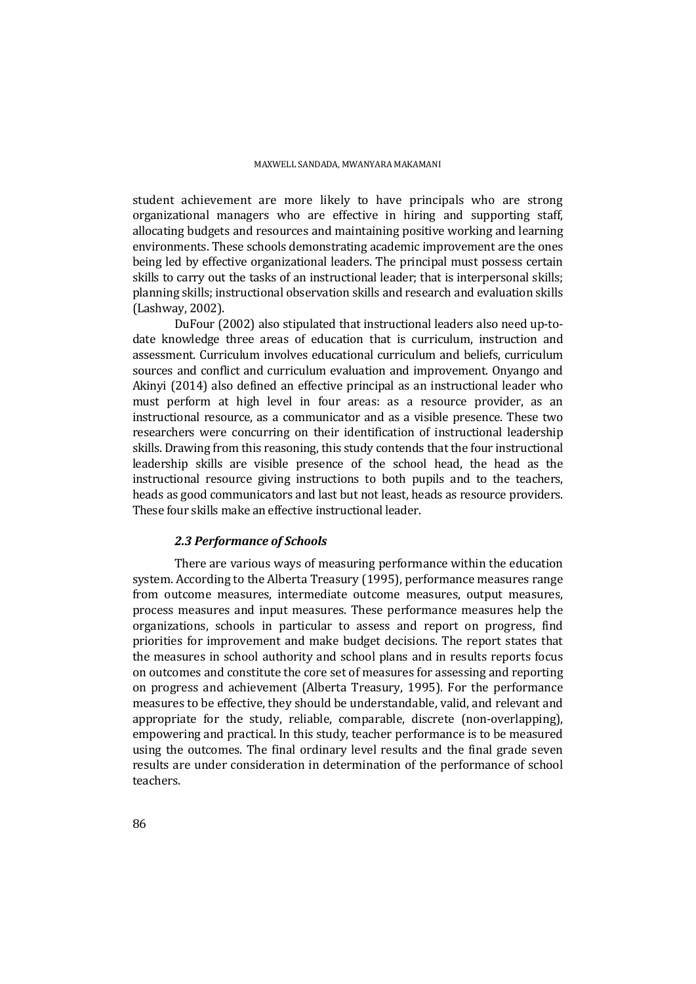student achievement are more likely to have principals who are strong organizational managers who are effective in hiring and supporting staff, allocating budgets and resources and maintaining positive working and learning environments. These schools demonstrating academic improvement are the ones being led by effective organizational leaders. The principal must possess certain skills to carry out the tasks of an instructional leader; that is interpersonal skills; planning skills; instructional observation skills and research and evaluation skills (Lashway, 2002).

DuFour (2002) also stipulated that instructional leaders also need up-todate knowledge three areas of education that is curriculum, instruction and assessment. Curriculum involves educational curriculum and beliefs, curriculum sources and conflict and curriculum evaluation and improvement. Onyango and Akinyi (2014) also defined an effective principal as an instructional leader who must perform at high level in four areas: as a resource provider, as an instructional resource, as a communicator and as a visible presence. These two researchers were concurring on their identification of instructional leadership skills. Drawing from this reasoning, this study contends that the four instructional leadership skills are visible presence of the school head, the head as the instructional resource giving instructions to both pupils and to the teachers, heads as good communicators and last but not least, heads as resource providers. These four skills make an effective instructional leader.

#### *2.3 Performance of Schools*

There are various ways of measuring performance within the education system. According to the Alberta Treasury (1995), performance measures range from outcome measures, intermediate outcome measures, output measures, process measures and input measures. These performance measures help the organizations, schools in particular to assess and report on progress, find priorities for improvement and make budget decisions. The report states that the measures in school authority and school plans and in results reports focus on outcomes and constitute the core set of measures for assessing and reporting on progress and achievement (Alberta Treasury, 1995). For the performance measures to be effective, they should be understandable, valid, and relevant and appropriate for the study, reliable, comparable, discrete (non-overlapping), empowering and practical. In this study, teacher performance is to be measured using the outcomes. The final ordinary level results and the final grade seven results are under consideration in determination of the performance of school teachers.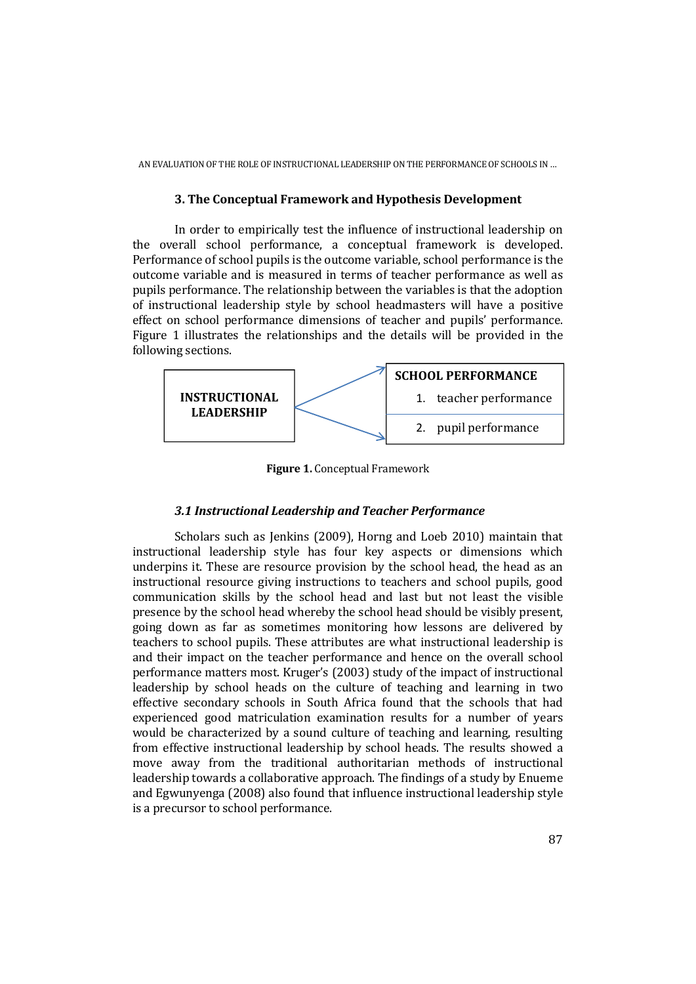# **3. The Conceptual Framework and Hypothesis Development**

In order to empirically test the influence of instructional leadership on the overall school performance, a conceptual framework is developed. Performance of school pupils is the outcome variable, school performance is the outcome variable and is measured in terms of teacher performance as well as pupils performance. The relationship between the variables is that the adoption of instructional leadership style by school headmasters will have a positive effect on school performance dimensions of teacher and pupils' performance. Figure 1 illustrates the relationships and the details will be provided in the following sections.



**Figure 1.** Conceptual Framework

# *3.1 Instructional Leadership and Teacher Performance*

Scholars such as Jenkins (2009), Horng and Loeb 2010) maintain that instructional leadership style has four key aspects or dimensions which underpins it. These are resource provision by the school head, the head as an instructional resource giving instructions to teachers and school pupils, good communication skills by the school head and last but not least the visible presence by the school head whereby the school head should be visibly present, going down as far as sometimes monitoring how lessons are delivered by teachers to school pupils. These attributes are what instructional leadership is and their impact on the teacher performance and hence on the overall school performance matters most. Kruger's (2003) study of the impact of instructional leadership by school heads on the culture of teaching and learning in two effective secondary schools in South Africa found that the schools that had experienced good matriculation examination results for a number of years would be characterized by a sound culture of teaching and learning, resulting from effective instructional leadership by school heads. The results showed a move away from the traditional authoritarian methods of instructional leadership towards a collaborative approach. The findings of a study by Enueme and Egwunyenga (2008) also found that influence instructional leadership style is a precursor to school performance.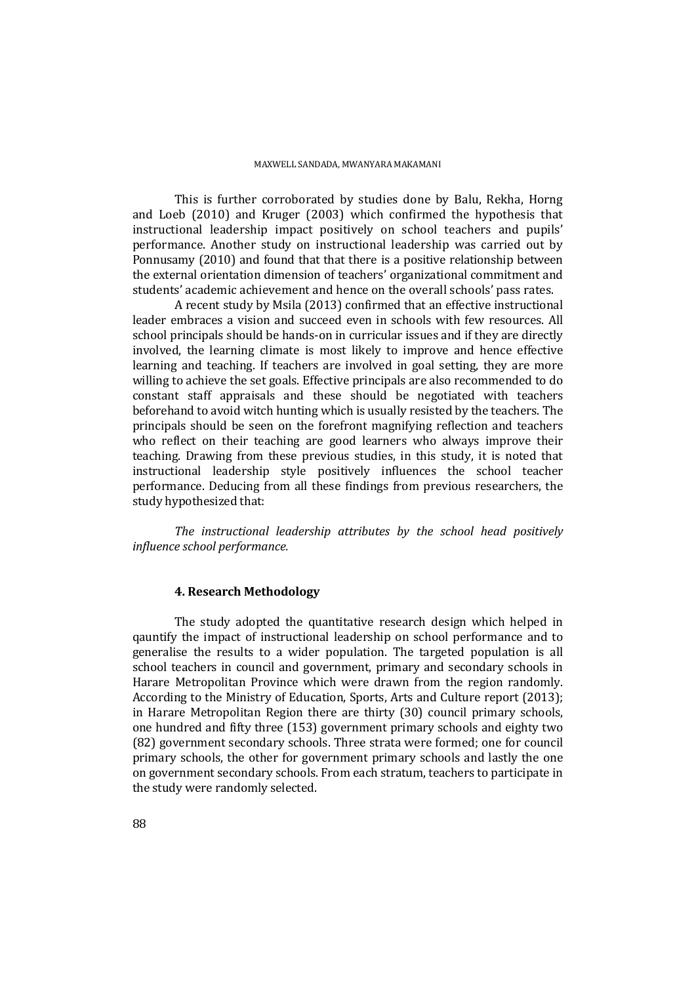This is further corroborated by studies done by Balu, Rekha, Horng and Loeb (2010) and Kruger (2003) which confirmed the hypothesis that instructional leadership impact positively on school teachers and pupils' performance. Another study on instructional leadership was carried out by Ponnusamy (2010) and found that that there is a positive relationship between the external orientation dimension of teachers' organizational commitment and students' academic achievement and hence on the overall schools' pass rates.

A recent study by Msila (2013) confirmed that an effective instructional leader embraces a vision and succeed even in schools with few resources. All school principals should be hands-on in curricular issues and if they are directly involved, the learning climate is most likely to improve and hence effective learning and teaching. If teachers are involved in goal setting, they are more willing to achieve the set goals. Effective principals are also recommended to do constant staff appraisals and these should be negotiated with teachers beforehand to avoid witch hunting which is usually resisted by the teachers. The principals should be seen on the forefront magnifying reflection and teachers who reflect on their teaching are good learners who always improve their teaching. Drawing from these previous studies, in this study, it is noted that instructional leadership style positively influences the school teacher performance. Deducing from all these findings from previous researchers, the study hypothesized that:

*The instructional leadership attributes by the school head positively influence school performance.* 

### **4. Research Methodology**

The study adopted the quantitative research design which helped in qauntify the impact of instructional leadership on school performance and to generalise the results to a wider population. The targeted population is all school teachers in council and government, primary and secondary schools in Harare Metropolitan Province which were drawn from the region randomly. According to the Ministry of Education, Sports, Arts and Culture report (2013); in Harare Metropolitan Region there are thirty (30) council primary schools, one hundred and fifty three (153) government primary schools and eighty two (82) government secondary schools. Three strata were formed; one for council primary schools, the other for government primary schools and lastly the one on government secondary schools. From each stratum, teachers to participate in the study were randomly selected.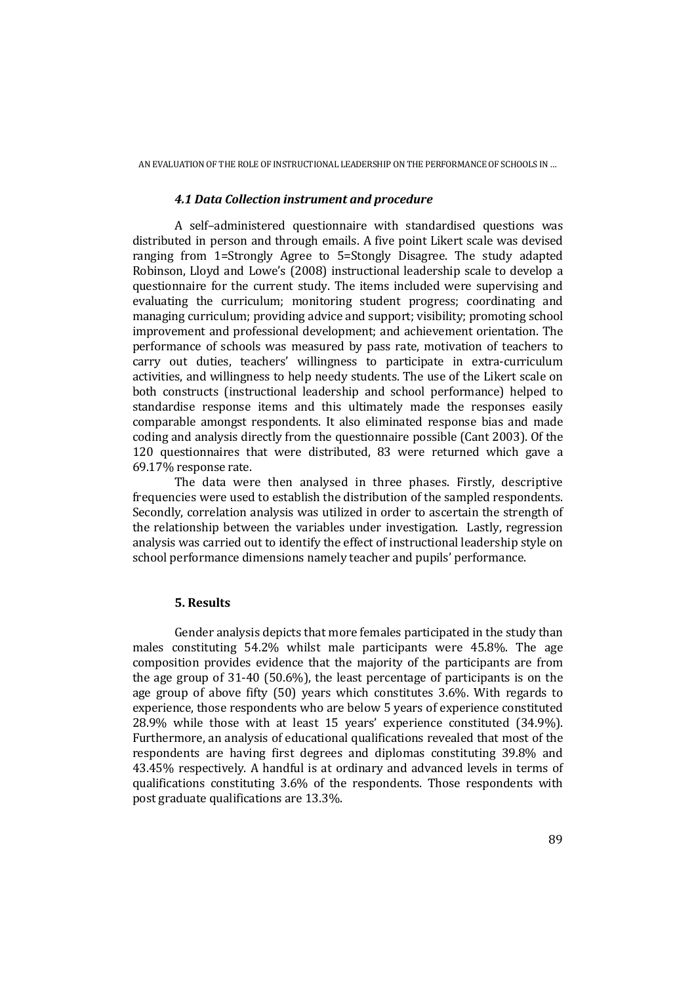#### *4.1 Data Collection instrument and procedure*

A self–administered questionnaire with standardised questions was distributed in person and through emails. A five point Likert scale was devised ranging from 1=Strongly Agree to 5=Stongly Disagree. The study adapted Robinson, Lloyd and Lowe's (2008) instructional leadership scale to develop a questionnaire for the current study. The items included were supervising and evaluating the curriculum; monitoring student progress; coordinating and managing curriculum; providing advice and support; visibility; promoting school improvement and professional development; and achievement orientation. The performance of schools was measured by pass rate, motivation of teachers to carry out duties, teachers' willingness to participate in extra-curriculum activities, and willingness to help needy students. The use of the Likert scale on both constructs (instructional leadership and school performance) helped to standardise response items and this ultimately made the responses easily comparable amongst respondents. It also eliminated response bias and made coding and analysis directly from the questionnaire possible (Cant 2003). Of the 120 questionnaires that were distributed, 83 were returned which gave a 69.17% response rate.

The data were then analysed in three phases. Firstly, descriptive frequencies were used to establish the distribution of the sampled respondents. Secondly, correlation analysis was utilized in order to ascertain the strength of the relationship between the variables under investigation. Lastly, regression analysis was carried out to identify the effect of instructional leadership style on school performance dimensions namely teacher and pupils' performance.

### **5. Results**

Gender analysis depicts that more females participated in the study than males constituting 54.2% whilst male participants were 45.8%. The age composition provides evidence that the majority of the participants are from the age group of 31-40 (50.6%), the least percentage of participants is on the age group of above fifty (50) years which constitutes 3.6%. With regards to experience, those respondents who are below 5 years of experience constituted 28.9% while those with at least 15 years' experience constituted (34.9%). Furthermore, an analysis of educational qualifications revealed that most of the respondents are having first degrees and diplomas constituting 39.8% and 43.45% respectively. A handful is at ordinary and advanced levels in terms of qualifications constituting 3.6% of the respondents. Those respondents with post graduate qualifications are 13.3%.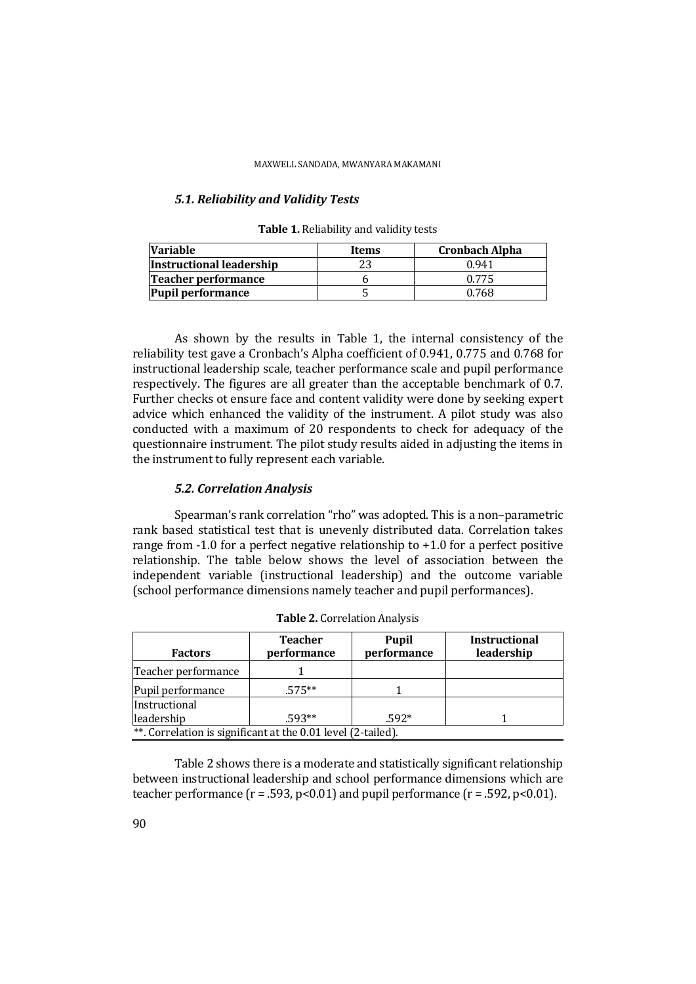# *5.1. Reliability and Validity Tests*

| <b>Variable</b>          | Items | <b>Cronbach Alpha</b> |  |  |
|--------------------------|-------|-----------------------|--|--|
| Instructional leadership | つつ    | 0.941                 |  |  |
| Teacher performance      |       | 0.775                 |  |  |
| <b>Pupil performance</b> |       | 0.768                 |  |  |

**Table 1.** Reliability and validity tests

As shown by the results in Table 1, the internal consistency of the reliability test gave a Cronbach's Alpha coefficient of 0.941, 0.775 and 0.768 for instructional leadership scale, teacher performance scale and pupil performance respectively. The figures are all greater than the acceptable benchmark of 0.7. Further checks ot ensure face and content validity were done by seeking expert advice which enhanced the validity of the instrument. A pilot study was also conducted with a maximum of 20 respondents to check for adequacy of the questionnaire instrument. The pilot study results aided in adjusting the items in the instrument to fully represent each variable.

### *5.2. Correlation Analysis*

Spearman's rank correlation "rho" was adopted. This is a non–parametric rank based statistical test that is unevenly distributed data. Correlation takes range from -1.0 for a perfect negative relationship to +1.0 for a perfect positive relationship. The table below shows the level of association between the independent variable (instructional leadership) and the outcome variable (school performance dimensions namely teacher and pupil performances).

| <b>Factors</b>                                               | <b>Teacher</b><br>performance | <b>Pupil</b><br>performance | <b>Instructional</b><br>leadership |  |  |
|--------------------------------------------------------------|-------------------------------|-----------------------------|------------------------------------|--|--|
| Teacher performance                                          |                               |                             |                                    |  |  |
|                                                              |                               |                             |                                    |  |  |
| Pupil performance                                            | $.575**$                      |                             |                                    |  |  |
| Instructional                                                |                               |                             |                                    |  |  |
| leadership                                                   | $.593**$                      | $.592*$                     |                                    |  |  |
| **. Correlation is significant at the 0.01 level (2-tailed). |                               |                             |                                    |  |  |

**Table 2.** Correlation Analysis

Table 2 shows there is a moderate and statistically significant relationship between instructional leadership and school performance dimensions which are teacher performance ( $r = .593$ ,  $p < 0.01$ ) and pupil performance ( $r = .592$ ,  $p < 0.01$ ).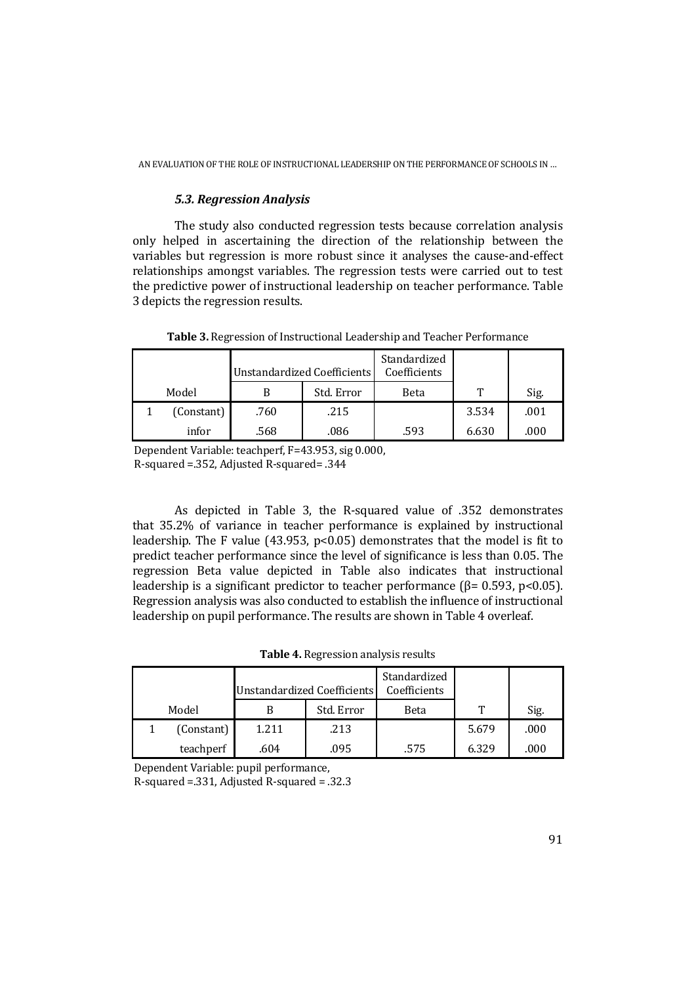# *5.3. Regression Analysis*

The study also conducted regression tests because correlation analysis only helped in ascertaining the direction of the relationship between the variables but regression is more robust since it analyses the cause-and-effect relationships amongst variables. The regression tests were carried out to test the predictive power of instructional leadership on teacher performance. Table 3 depicts the regression results.

|            | Unstandardized Coefficients |            | Standardized<br>Coefficients |       |      |
|------------|-----------------------------|------------|------------------------------|-------|------|
| Model      | B                           | Std. Error | Beta                         | Т     | Sig. |
| (Constant) | .760                        | .215       |                              | 3.534 | .001 |
| infor      | .568                        | .086       | .593                         | 6.630 | .000 |

**Table 3.** Regression of Instructional Leadership and Teacher Performance

Dependent Variable: teachperf, F=43.953, sig 0.000, R-squared =.352, Adjusted R-squared= .344

As depicted in Table 3, the R-squared value of .352 demonstrates that 35.2% of variance in teacher performance is explained by instructional leadership. The F value (43.953, p<0.05) demonstrates that the model is fit to predict teacher performance since the level of significance is less than 0.05. The regression Beta value depicted in Table also indicates that instructional leadership is a significant predictor to teacher performance ( $\beta$ = 0.593, p<0.05). Regression analysis was also conducted to establish the influence of instructional leadership on pupil performance. The results are shown in Table 4 overleaf.

|  | Table 4. Regression analysis results |  |  |
|--|--------------------------------------|--|--|
|--|--------------------------------------|--|--|

|       |            |       | Unstandardized Coefficients | Standardized<br>Coefficients |       |      |
|-------|------------|-------|-----------------------------|------------------------------|-------|------|
| Model |            |       | Std. Error                  | Beta                         | ጥ     | Sig. |
|       | (Constant) | 1.211 | .213                        |                              | 5.679 | .000 |
|       | teachperf  | .604  | .095                        | .575                         | 6.329 | .000 |

Dependent Variable: pupil performance,

R-squared =.331, Adjusted R-squared = .32.3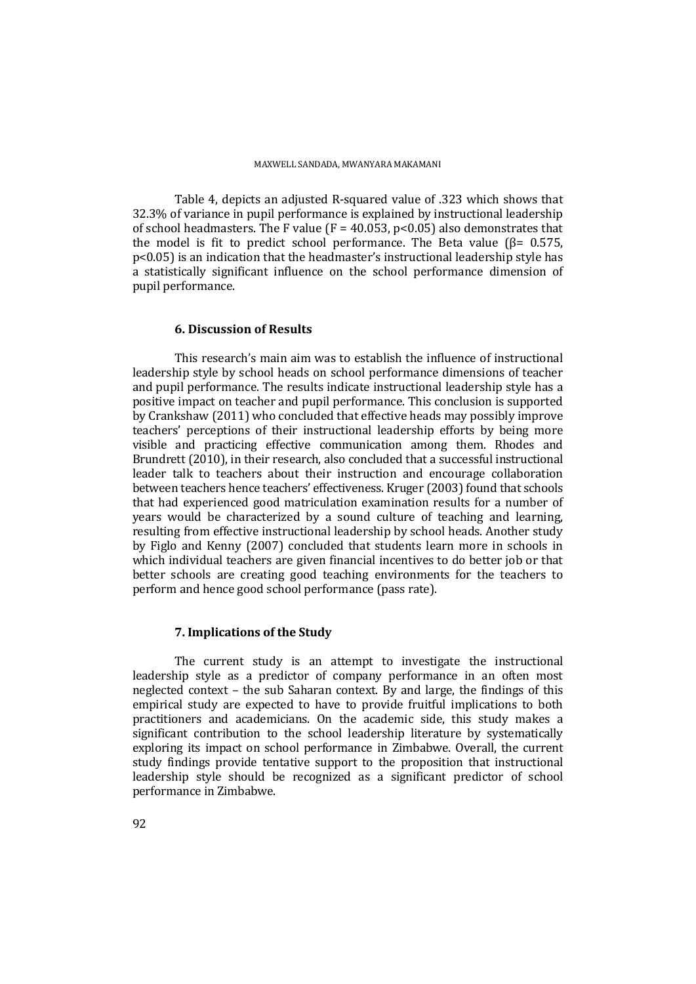Table 4, depicts an adjusted R-squared value of .323 which shows that 32.3% of variance in pupil performance is explained by instructional leadership of school headmasters. The F value (F =  $40.053$ , p<0.05) also demonstrates that the model is fit to predict school performance. The Beta value ( $\beta$ = 0.575, p<0.05) is an indication that the headmaster's instructional leadership style has a statistically significant influence on the school performance dimension of pupil performance.

# **6. Discussion of Results**

This research's main aim was to establish the influence of instructional leadership style by school heads on school performance dimensions of teacher and pupil performance. The results indicate instructional leadership style has a positive impact on teacher and pupil performance. This conclusion is supported by Crankshaw (2011) who concluded that effective heads may possibly improve teachers' perceptions of their instructional leadership efforts by being more visible and practicing effective communication among them. Rhodes and Brundrett (2010), in their research, also concluded that a successful instructional leader talk to teachers about their instruction and encourage collaboration between teachers hence teachers' effectiveness. Kruger (2003) found that schools that had experienced good matriculation examination results for a number of years would be characterized by a sound culture of teaching and learning, resulting from effective instructional leadership by school heads. Another study by Figlo and Kenny (2007) concluded that students learn more in schools in which individual teachers are given financial incentives to do better job or that better schools are creating good teaching environments for the teachers to perform and hence good school performance (pass rate).

# **7. Implications of the Study**

The current study is an attempt to investigate the instructional leadership style as a predictor of company performance in an often most neglected context – the sub Saharan context. By and large, the findings of this empirical study are expected to have to provide fruitful implications to both practitioners and academicians. On the academic side, this study makes a significant contribution to the school leadership literature by systematically exploring its impact on school performance in Zimbabwe. Overall, the current study findings provide tentative support to the proposition that instructional leadership style should be recognized as a significant predictor of school performance in Zimbabwe.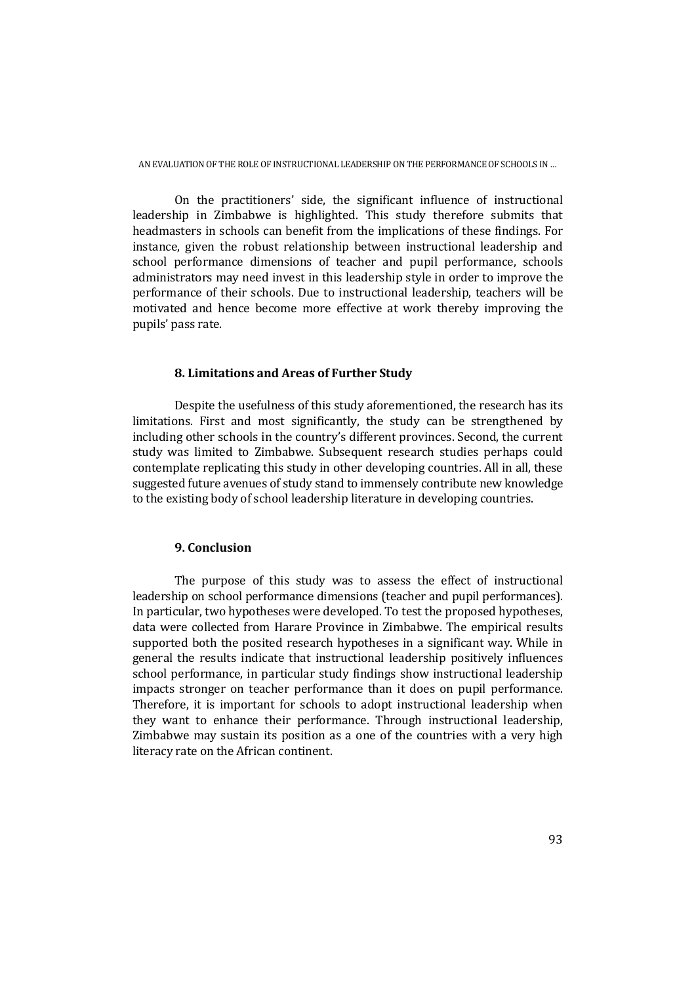On the practitioners' side, the significant influence of instructional leadership in Zimbabwe is highlighted. This study therefore submits that headmasters in schools can benefit from the implications of these findings. For instance, given the robust relationship between instructional leadership and school performance dimensions of teacher and pupil performance, schools administrators may need invest in this leadership style in order to improve the performance of their schools. Due to instructional leadership, teachers will be motivated and hence become more effective at work thereby improving the pupils' pass rate.

### **8. Limitations and Areas of Further Study**

Despite the usefulness of this study aforementioned, the research has its limitations. First and most significantly, the study can be strengthened by including other schools in the country's different provinces. Second, the current study was limited to Zimbabwe. Subsequent research studies perhaps could contemplate replicating this study in other developing countries. All in all, these suggested future avenues of study stand to immensely contribute new knowledge to the existing body of school leadership literature in developing countries.

# **9. Conclusion**

The purpose of this study was to assess the effect of instructional leadership on school performance dimensions (teacher and pupil performances). In particular, two hypotheses were developed. To test the proposed hypotheses, data were collected from Harare Province in Zimbabwe. The empirical results supported both the posited research hypotheses in a significant way. While in general the results indicate that instructional leadership positively influences school performance, in particular study findings show instructional leadership impacts stronger on teacher performance than it does on pupil performance. Therefore, it is important for schools to adopt instructional leadership when they want to enhance their performance. Through instructional leadership, Zimbabwe may sustain its position as a one of the countries with a very high literacy rate on the African continent.